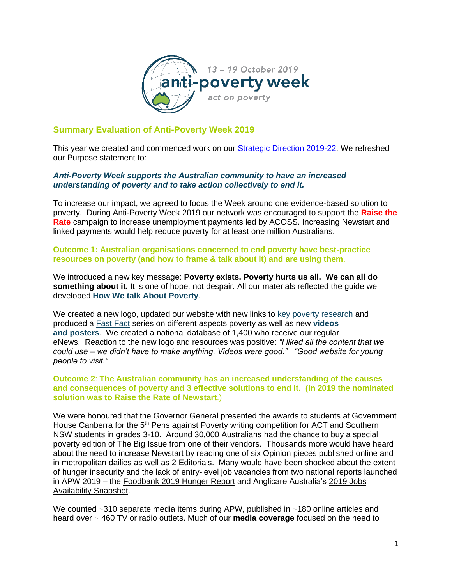

## **Summary Evaluation of Anti-Poverty Week 2019**

This year we created and commenced work on our **Strategic Direction 2019-22**. We refreshed our Purpose statement to:

## *Anti-Poverty Week supports the Australian community to have an increased understanding of poverty and to take action collectively to end it.*

To increase our impact, we agreed to focus the Week around one evidence-based solution to poverty. During Anti-Poverty Week 2019 our network was encouraged to support the **[Raise the](https://raisetherate.org.au/)  [Rate](https://raisetherate.org.au/)** campaign to increase unemployment payments led by ACOSS. Increasing Newstart and linked payments would help reduce poverty for at least one million Australians.

## **Outcome 1: Australian organisations concerned to end poverty have best-practice resources on poverty (and how to frame & talk about it) and are using them**.

We introduced a new key message: **Poverty exists. Poverty hurts us all. We can all do something about it.** It is one of hope, not despair. All our materials reflected the guide we developed **How We talk About Poverty**.

We created a new logo, updated our website with new links to [key poverty research](https://antipovertyweek.org.au/resources/poverty-in-australia/) and produced a [Fast Fact](https://antipovertyweek.org.au/resources/fast-facts/) series on different aspects poverty as well as new **videos and posters**. We created a national database of 1,400 who receive our regular eNews. Reaction to the new logo and resources was positive: *"I liked all the content that we could use – we didn't have to make anything. Videos were good." "Good website for young people to visit."*

## **Outcome 2**: **The Australian community has an increased understanding of the causes and consequences of poverty and 3 effective solutions to end it. (In 2019 the nominated solution was to Raise the Rate of Newstart**.)

We were honoured that the Governor General presented the awards to students at Government House Canberra for the 5<sup>th</sup> Pens against Poverty writing competition for ACT and Southern NSW students in grades 3-10. Around 30,000 Australians had the chance to buy a special poverty edition of The Big Issue from one of their vendors. Thousands more would have heard about the need to increase Newstart by reading one of six Opinion pieces published online and in metropolitan dailies as well as 2 Editorials. Many would have been shocked about the extent of hunger insecurity and the lack of entry-level job vacancies from two national reports launched in APW 2019 – the [Foodbank 2019 Hunger Report](https://www.foodbank.org.au/wp-content/uploads/2019/10/Foodbank-Hunger-Report-2019.pdf) and Anglicare Australia's [2019 Jobs](https://www.anglicare.asn.au/docs/default-source/default-document-library/jobs-availability-snapshot-2019.pdf?sfvrsn=4)  [Availability Snapshot.](https://www.anglicare.asn.au/docs/default-source/default-document-library/jobs-availability-snapshot-2019.pdf?sfvrsn=4)

We counted ~310 separate media items during APW, published in ~180 online articles and heard over ~ 460 TV or radio outlets. Much of our **[media coverage](https://antipovertyweek.org.au/wp-content/uploads/2020/02/APW2019Media.pdf)** focused on the need to